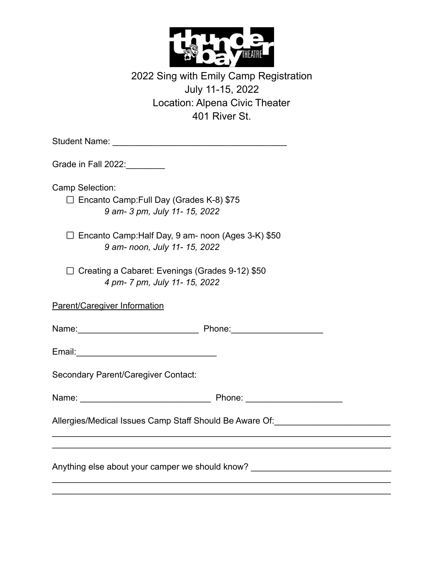

| 2022 Sing with Emily Camp Registration |
|----------------------------------------|
| July 11-15, 2022                       |
| Location: Alpena Civic Theater         |
| 401 River St.                          |

| Grade in Fall 2022:________                                                                                                                                                                                                    |  |
|--------------------------------------------------------------------------------------------------------------------------------------------------------------------------------------------------------------------------------|--|
| Camp Selection:                                                                                                                                                                                                                |  |
| $\Box$ Encanto Camp: Full Day (Grades K-8) \$75                                                                                                                                                                                |  |
| 9 am- 3 pm, July 11- 15, 2022                                                                                                                                                                                                  |  |
| $\Box$ Encanto Camp: Half Day, 9 am- noon (Ages 3-K) \$50                                                                                                                                                                      |  |
| 9 am- noon, July 11- 15, 2022                                                                                                                                                                                                  |  |
| $\Box$ Creating a Cabaret: Evenings (Grades 9-12) \$50                                                                                                                                                                         |  |
| 4 pm- 7 pm, July 11- 15, 2022                                                                                                                                                                                                  |  |
| Parent/Caregiver Information                                                                                                                                                                                                   |  |
|                                                                                                                                                                                                                                |  |
| Name: 2008. [2010] Phone: 2010 Phone: 2010 Phone: 2010 Phone: 2010 Phone: 2010 Phone: 2010 Phone: 2010 Phone: 2010 Phone: 2010 Phone: 2010 Phone: 2010 Phone: 2010 Phone: 2010 Phone: 2010 Phone: 2010 Phone: 2010 Phone: 2010 |  |
|                                                                                                                                                                                                                                |  |
|                                                                                                                                                                                                                                |  |
| Secondary Parent/Caregiver Contact:                                                                                                                                                                                            |  |
|                                                                                                                                                                                                                                |  |
|                                                                                                                                                                                                                                |  |
| Allergies/Medical Issues Camp Staff Should Be Aware Of: ________________________                                                                                                                                               |  |
|                                                                                                                                                                                                                                |  |
| Anything else about your camper we should know? ________________________________                                                                                                                                               |  |
|                                                                                                                                                                                                                                |  |
|                                                                                                                                                                                                                                |  |